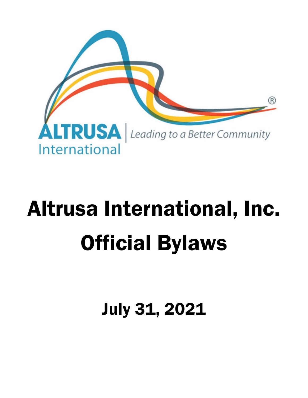

# Altrusa International, Inc. Official Bylaws

July 31, 2021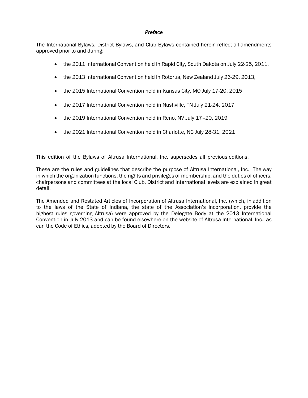#### *Preface*

The International Bylaws, District Bylaws, and Club Bylaws contained herein reflect all amendments approved prior to and during:

- the 2011 International Convention held in Rapid City, South Dakota on July 22-25, 2011,
- the 2013 International Convention held in Rotorua, New Zealand July 26-29, 2013,
- the 2015 International Convention held in Kansas City, MO July 17-20, 2015
- the 2017 International Convention held in Nashville, TN July 21-24, 2017
- the 2019 International Convention held in Reno, NV July 17–20, 2019
- the 2021 International Convention held in Charlotte, NC July 28-31, 2021

This edition of the Bylaws of Altrusa International, Inc. supersedes all previous editions.

These are the rules and guidelines that describe the purpose of Altrusa International, Inc. The way in which the organization functions, the rights and privileges of membership, and the duties of officers, chairpersons and committees at the local Club, District and International levels are explained in great detail.

The Amended and Restated Articles of Incorporation of Altrusa International, Inc. (which, in addition to the laws of the State of Indiana, the state of the Association's incorporation, provide the highest rules governing Altrusa) were approved by the Delegate Body at the 2013 International Convention in July 2013 and can be found elsewhere on the website of Altrusa International, Inc., as can the Code of Ethics, adopted by the Board of Directors.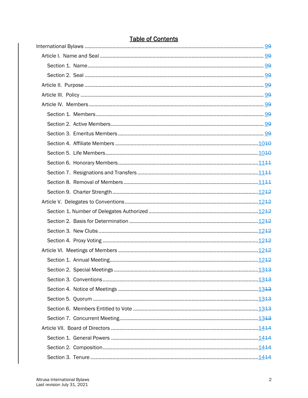# **Table of Contents**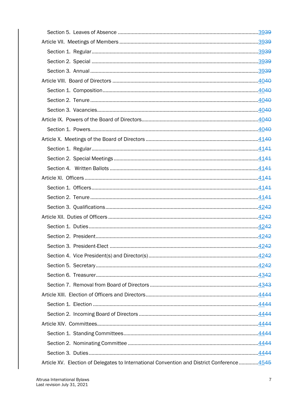| Article XV. Election of Delegates to International Convention and District Conference 4545 |  |
|--------------------------------------------------------------------------------------------|--|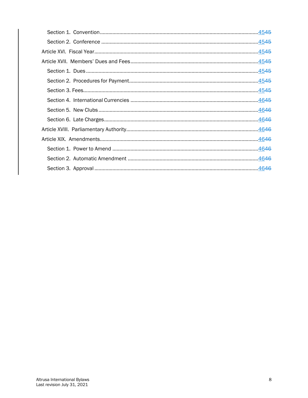| .4545 |  |
|-------|--|
|       |  |
| 4545  |  |
|       |  |
|       |  |
| .4645 |  |
| 4646  |  |
| 4646  |  |
| 4646  |  |
| 4646  |  |
|       |  |
| 4646  |  |
|       |  |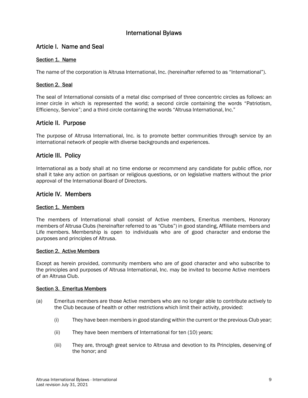# International Bylaws

# Article I. Name and Seal

# Section 1. Name

The name of the corporation is Altrusa International, Inc. (hereinafter referred to as "International").

## Section 2. Seal

The seal of International consists of a metal disc comprised of three concentric circles as follows: an inner circle in which is represented the world; a second circle containing the words "Patriotism, Efficiency, Service"; and a third circle containing the words "Altrusa International, Inc."

# Article II. Purpose

The purpose of Altrusa International, Inc. is to promote better communities through service by an international network of people with diverse backgrounds and experiences.

# Article III. Policy

International as a body shall at no time endorse or recommend any candidate for public office, nor shall it take any action on partisan or religious questions, or on legislative matters without the prior approval of the International Board of Directors.

# Article IV. Members

#### Section 1. Members

The members of International shall consist of Active members, Emeritus members, Honorary members of Altrusa Clubs (hereinafter referred to as "Clubs") in good standing, Affiliate members and Life members. Membership is open to individuals who are of good character and endorse the purposes and principles of Altrusa.

#### Section 2. Active Members

Except as herein provided, community members who are of good character and who subscribe to the principles and purposes of Altrusa International, Inc. may be invited to become Active members of an Altrusa Club.

#### Section 3. Emeritus Members

- (a) Emeritus members are those Active members who are no longer able to contribute actively to the Club because of health or other restrictions which limit their activity, provided:
	- (i) They have been members in good standing within the current or the previous Club year;
	- (ii) They have been members of International for ten (10) years;
	- (iii) They are, through great service to Altrusa and devotion to its Principles, deserving of the honor; and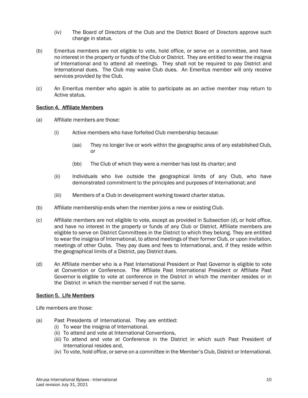- (iv) The Board of Directors of the Club and the District Board of Directors approve such change in status.
- (b) Emeritus members are not eligible to vote, hold office, or serve on a committee, and have no interest in the property or funds of the Club or District. They are entitled to wear the insignia of International and to attend all meetings. They shall not be required to pay District and International dues. The Club may waive Club dues. An Emeritus member will only receive services provided by the Club.
- (c) An Emeritus member who again is able to participate as an active member may return to Active status.

#### Section 4. Affiliate Members

- (a) Affiliate members are those:
	- (i) Active members who have forfeited Club membership because:
		- (aa) They no longer live or work within the geographic area of any established Club, or
		- (bb) The Club of which they were a member has lost its charter; and
	- (ii) Individuals who live outside the geographical limits of any Club, who have demonstrated commitment to the principles and purposes of International; and
	- (iii) Members of a Club in development working toward charter status.
- (b) Affiliate membership ends when the member joins a new or existing Club.
- (c) Affiliate members are not eligible to vote, except as provided in Subsection (d), or hold office, and have no interest in the property or funds of any Club or District. Affiliate members are eligible to serve on District Committees in the District to which they belong. They are entitled to wear the insignia of International, to attend meetings of their former Club, or upon invitation, meetings of other Clubs. They pay dues and fees to International, and, if they reside within the geographical limits of a District, pay District dues.
- (d) An Affiliate member who is a Past International President or Past Governor is eligible to vote at Convention or Conference. The Affiliate Past International President or Affiliate Past Governor is eligible to vote at conference in the District in which the member resides or in the District in which the member served if not the same.

# Section 5. Life Members

Life members are those:

- (a) Past Presidents of International. They are entitled:
	- (i) To wear the insignia of International.
	- (ii) To attend and vote at International Conventions,
	- (iii) To attend and vote at Conference in the District in which such Past President of International resides and,
	- (iv) To vote, hold office, or serve on a committee in the Member's Club, District or International.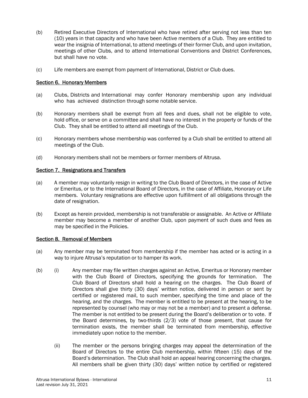- (b) Retired Executive Directors of International who have retired after serving not less than ten (10) years in that capacity and who have been Active members of a Club. They are entitled to wear the insignia of International, to attend meetings of their former Club, and upon invitation, meetings of other Clubs, and to attend International Conventions and District Conferences, but shall have no vote.
- (c) Life members are exempt from payment of International, District or Club dues.

## Section 6. Honorary Members

- (a) Clubs, Districts and International may confer Honorary membership upon any individual who has achieved distinction through some notable service.
- (b) Honorary members shall be exempt from all fees and dues, shall not be eligible to vote, hold office, or serve on a committee and shall have no interest in the property or funds of the Club. They shall be entitled to attend all meetings of the Club.
- (c) Honorary members whose membership was conferred by a Club shall be entitled to attend all meetings of the Club.
- (d) Honorary members shall not be members or former members of Altrusa.

## Section 7. Resignations and Transfers

- (a) A member may voluntarily resign in writing to the Club Board of Directors, in the case of Active or Emeritus, or to the International Board of Directors, in the case of Affiliate, Honorary or Life members. Voluntary resignations are effective upon fulfillment of all obligations through the date of resignation.
- (b) Except as herein provided, membership is not transferable or assignable. An Active or Affiliate member may become a member of another Club, upon payment of such dues and fees as may be specified in the Policies.

#### Section 8. Removal of Members

- (a) Any member may be terminated from membership if the member has acted or is acting in a way to injure Altrusa's reputation or to hamper its work.
- (b) (i) Any member may file written charges against an Active, Emeritus or Honorary member with the Club Board of Directors, specifying the grounds for termination. The Club Board of Directors shall hold a hearing on the charges. The Club Board of Directors shall give thirty (30) days' written notice, delivered in person or sent by certified or registered mail, to such member, specifying the time and place of the hearing, and the charges. The member is entitled to be present at the hearing, to be represented by counsel (who may or may not be a member) and to present a defense. The member is not entitled to be present during the Board's deliberation or to vote. If the Board determines, by two-thirds (2/3) vote of those present, that cause for termination exists, the member shall be terminated from membership, effective immediately upon notice to the member.
	- (ii) The member or the persons bringing charges may appeal the determination of the Board of Directors to the entire Club membership, within fifteen (15) days of the Board's determination. The Club shall hold an appeal hearing concerning the charges. All members shall be given thirty (30) days' written notice by certified or registered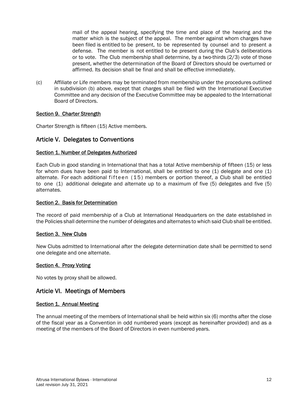mail of the appeal hearing, specifying the time and place of the hearing and the matter which is the subject of the appeal. The member against whom charges have been filed is entitled to be present, to be represented by counsel and to present a defense. The member is not entitled to be present during the Club's deliberations or to vote. The Club membership shall determine, by a two-thirds (2/3) vote of those present, whether the determination of the Board of Directors should be overturned or affirmed. Its decision shall be final and shall be effective immediately.

(c) Affiliate or Life members may be terminated from membership under the procedures outlined in subdivision (b) above, except that charges shall be filed with the International Executive Committee and any decision of the Executive Committee may be appealed to the International Board of Directors.

## Section 9. Charter Strength

Charter Strength is fifteen (15) Active members.

# Article V. Delegates to Conventions

#### Section 1. Number of Delegates Authorized

Each Club in good standing in International that has a total Active membership of fifteen (15) or less for whom dues have been paid to International, shall be entitled to one (1) delegate and one (1) alternate. For each additional fifteen (15) members or portion thereof, a Club shall be entitled to one (1) additional delegate and alternate up to a maximum of five (5) delegates and five (5) alternates.

#### Section 2. Basis for Determination

The record of paid membership of a Club at International Headquarters on the date established in the Policies shall determine the number of delegates and alternates to which said Club shall be entitled.

#### Section 3. New Clubs

New Clubs admitted to International after the delegate determination date shall be permitted to send one delegate and one alternate.

#### Section 4. Proxy Voting

No votes by proxy shall be allowed.

# Article VI. Meetings of Members

#### Section 1. Annual Meeting

The annual meeting of the members of International shall be held within six (6) months after the close of the fiscal year as a Convention in odd numbered years (except as hereinafter provided) and as a meeting of the members of the Board of Directors in even numbered years.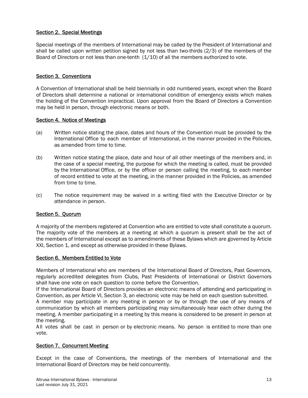# Section 2. Special Meetings

Special meetings of the members of International may be called by the President of International and shall be called upon written petition signed by not less than two-thirds (2/3) of the members of the Board of Directors or not less than one-tenth (1/10) of all the members authorized to vote.

# Section 3. Conventions

A Convention of International shall be held biennially in odd numbered years, except when the Board of Directors shall determine a national or international condition of emergency exists which makes the holding of the Convention impractical. Upon approval from the Board of Directors a Convention may be held in person, through electronic means or both.

## Section 4. Notice of Meetings

- (a) Written notice stating the place, dates and hours of the Convention must be provided by the International Office to each member of International, in the manner provided in the Policies, as amended from time to time.
- (b) Written notice stating the place, date and hour of all other meetings of the members and, in the case of a special meeting, the purpose for which the meeting is called, must be provided by the International Office, or by the officer or person calling the meeting, to each member of record entitled to vote at the meeting, in the manner provided in the Policies, as amended from time to time.
- (c) The notice requirement may be waived in a writing filed with the Executive Director or by attendance in person.

# Section 5. Quorum

A majority of the members registered at Convention who are entitled to vote shall constitute a quorum. The majority vote of the members at a meeting at which a quorum is present shall be the act of the members of International except as to amendments of these Bylaws which are governed by Article XXI, Section 1, and except as otherwise provided in these Bylaws.

#### Section 6. Members Entitled to Vote

Members of International who are members of the International Board of Directors, Past Governors, regularly accredited delegates from Clubs, Past Presidents of International or District Governors shall have one vote on each question to come before the Convention.

If the International Board of Directors provides an electronic means of attending and participating in Convention, as per Article VI, Section 3, an electronic vote may be held on each question submitted.

A member may participate in any meeting in person or by or through the use of any means of communication by which all members participating may simultaneously hear each other during the meeting. A member participating in a meeting by this means is considered to be present in person at the meeting.

A ll votes shall be cast in person or by electronic means. No person is entitled to more than one vote.

# Section 7. Concurrent Meeting

Except in the case of Conventions, the meetings of the members of International and the International Board of Directors may be held concurrently.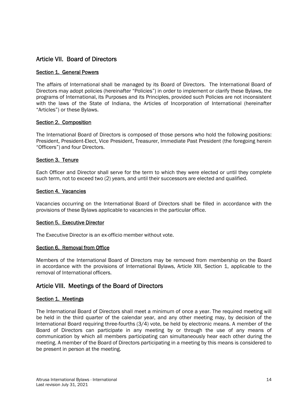# Article VII. Board of Directors

## Section 1. General Powers

The affairs of International shall be managed by its Board of Directors. The International Board of Directors may adopt policies (hereinafter "Policies") in order to implement or clarify these Bylaws, the programs of International, its Purposes and its Principles, provided such Policies are not inconsistent with the laws of the State of Indiana, the Articles of Incorporation of International (hereinafter "Articles") or these Bylaws.

## Section 2. Composition

The International Board of Directors is composed of those persons who hold the following positions: President, President-Elect, Vice President, Treasurer, Immediate Past President (the foregoing herein "Officers") and four Directors.

## Section 3. Tenure

Each Officer and Director shall serve for the term to which they were elected or until they complete such term, not to exceed two (2) years, and until their successors are elected and qualified.

#### Section 4. Vacancies

Vacancies occurring on the International Board of Directors shall be filled in accordance with the provisions of these Bylaws applicable to vacancies in the particular office.

#### Section 5. Executive Director

The Executive Director is an ex-officio member without vote.

#### Section 6. Removal from Office

Members of the International Board of Directors may be removed from membership on the Board in accordance with the provisions of International Bylaws, Article XIII, Section 1, applicable to the removal of International officers.

# Article VIII. Meetings of the Board of Directors

#### Section 1. Meetings

The International Board of Directors shall meet a minimum of once a year. The required meeting will be held in the third quarter of the calendar year, and any other meeting may, by decision of the International Board requiring three-fourths (3/4) vote, be held by electronic means. A member of the Board of Directors can participate in any meeting by or through the use of any means of communication by which all members participating can simultaneously hear each other during the meeting. A member of the Board of Directors participating in a meeting by this means is considered to be present in person at the meeting.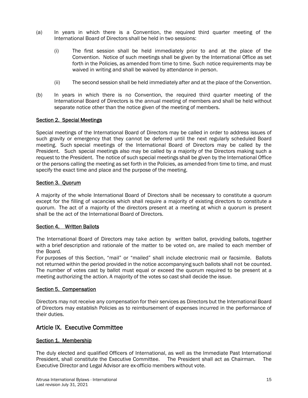- (a) In years in which there is a Convention, the required third quarter meeting of the International Board of Directors shall be held in two sessions:
	- (i) The first session shall be held immediately prior to and at the place of the Convention. Notice of such meetings shall be given by the International Office as set forth in the Policies, as amended from time to time. Such notice requirements may be waived in writing and shall be waived by attendance in person.
	- (ii) The second session shall be held immediately after and at the place of the Convention.
- (b) In years in which there is no Convention, the required third quarter meeting of the International Board of Directors is the annual meeting of members and shall be held without separate notice other than the notice given of the meeting of members.

## Section 2. Special Meetings

Special meetings of the International Board of Directors may be called in order to address issues of such gravity or emergency that they cannot be deferred until the next regularly scheduled Board meeting. Such special meetings of the International Board of Directors may be called by the President. Such special meetings also may be called by a majority of the Directors making such a request to the President. The notice of such special meetings shall be given by the International Office or the persons calling the meeting as set forth in the Policies, as amended from time to time, and must specify the exact time and place and the purpose of the meeting.

## Section 3. Quorum

A majority of the whole International Board of Directors shall be necessary to constitute a quorum except for the filling of vacancies which shall require a majority of existing directors to constitute a quorum. The act of a majority of the directors present at a meeting at which a quorum is present shall be the act of the International Board of Directors.

#### Section 4. Written Ballots

The International Board of Directors may take action by written ballot, providing ballots, together with a brief description and rationale of the matter to be voted on, are mailed to each member of the Board.

For purposes of this Section, "mail" or "mailed" shall include electronic mail or facsimile. Ballots not returned within the period provided in the notice accompanying such ballots shall not be counted. The number of votes cast by ballot must equal or exceed the quorum required to be present at a meeting authorizing the action. A majority of the votes so cast shall decide the issue.

#### Section 5. Compensation

Directors may not receive any compensation for their services as Directors but the International Board of Directors may establish Policies as to reimbursement of expenses incurred in the performance of their duties.

# Article IX. Executive Committee

# Section 1. Membership

The duly elected and qualified Officers of International, as well as the Immediate Past International President, shall constitute the Executive Committee. The President shall act as Chairman. The Executive Director and Legal Advisor are ex-officio members without vote.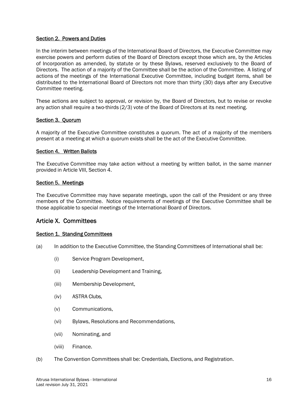## Section 2. Powers and Duties

In the interim between meetings of the International Board of Directors, the Executive Committee may exercise powers and perform duties of the Board of Directors except those which are, by the Articles of Incorporation as amended, by statute or by these Bylaws, reserved exclusively to the Board of Directors. The action of a majority of the Committee shall be the action of the Committee. A listing of actions of the meetings of the International Executive Committee, including budget items, shall be distributed to the International Board of Directors not more than thirty (30) days after any Executive Committee meeting.

These actions are subject to approval, or revision by, the Board of Directors, but to revise or revoke any action shall require a two-thirds (2/3) vote of the Board of Directors at its next meeting.

#### Section 3. Quorum

A majority of the Executive Committee constitutes a quorum. The act of a majority of the members present at a meeting at which a quorum exists shall be the act of the Executive Committee.

#### Section 4. Written Ballots

The Executive Committee may take action without a meeting by written ballot, in the same manner provided in Article VIII, Section 4.

#### Section 5. Meetings

The Executive Committee may have separate meetings, upon the call of the President or any three members of the Committee. Notice requirements of meetings of the Executive Committee shall be those applicable to special meetings of the International Board of Directors.

# Article X. Committees

#### Section 1. Standing Committees

- (a) In addition to the Executive Committee, the Standing Committees of International shall be:
	- (i) Service Program Development,
	- (ii) Leadership Development and Training,
	- (iii) Membership Development,
	- (iv) ASTRA Clubs,
	- (v) Communications,
	- (vi) Bylaws, Resolutions and Recommendations,
	- (vii) Nominating, and
	- (viii) Finance.
- (b) The Convention Committees shall be: Credentials, Elections, and Registration.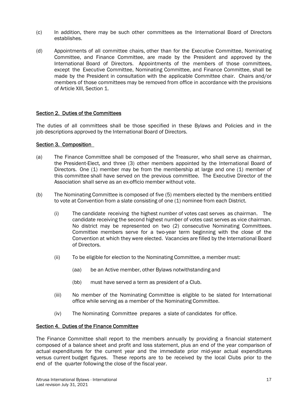- (c) In addition, there may be such other committees as the International Board of Directors establishes.
- (d) Appointments of all committee chairs, other than for the Executive Committee, Nominating Committee, and Finance Committee, are made by the President and approved by the International Board of Directors. Appointments of the members of those committees, except the Executive Committee, Nominating Committee, and Finance Committee, shall be made by the President in consultation with the applicable Committee chair. Chairs and/or members of those committees may be removed from office in accordance with the provisions of Article XIII, Section 1.

## Section 2. Duties of the Committees

The duties of all committees shall be those specified in these Bylaws and Policies and in the job descriptions approved by the International Board of Directors.

## Section 3. Composition

- (a) The Finance Committee shall be composed of the Treasurer, who shall serve as chairman, the President-Elect, and three (3) other members appointed by the International Board of Directors. One (1) member may be from the membership at large and one (1) member of this committee shall have served on the previous committee. The Executive Director of the Association shall serve as an ex-officio member without vote.
- (b) The Nominating Committee is composed of five (5) members elected by the members entitled to vote at Convention from a slate consisting of one (1) nominee from each District.
	- (i) The candidate receiving the highest number of votes cast serves as chairman. The candidate receiving the second highest number of votes cast serves as vice chairman. No district may be represented on two (2) consecutive Nominating Committees. Committee members serve for a two-year term beginning with the close of the Convention at which they were elected. Vacancies are filled by the International Board of Directors.
	- (ii) To be eligible for election to the Nominating Committee, a member must:
		- (aa) be an Active member, other Bylaws notwithstanding and
		- (bb) must have served a term as president of a Club.
	- (iii) No member of the Nominating Committee is eligible to be slated for International office while serving as a member of the Nominating Committee.
	- (iv) The Nominating Committee prepares a slate of candidates for office.

## Section 4. Duties of the Finance Committee

The Finance Committee shall report to the members annually by providing a financial statement composed of a balance sheet and profit and loss statement, plus an end of the year comparison of actual expenditures for the current year and the immediate prior mid-year actual expenditures versus current budget figures. These reports are to be received by the local Clubs prior to the end of the quarter following the close of the fiscal year.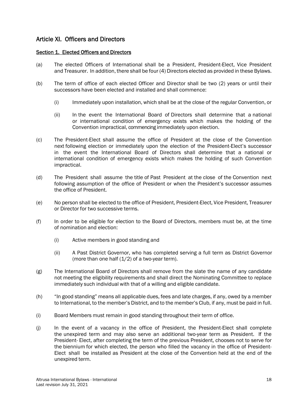# Article XI. Officers and Directors

#### Section 1. Elected Officers and Directors

- (a) The elected Officers of International shall be a President, President-Elect, Vice President and Treasurer. In addition, there shall be four (4) Directors elected as provided in these Bylaws.
- (b) The term of office of each elected Officer and Director shall be two (2) years or until their successors have been elected and installed and shall commence:
	- (i) Immediately upon installation, which shall be at the close of the regular Convention, or
	- (ii) In the event the International Board of Directors shall determine that a national or international condition of emergency exists which makes the holding of the Convention impractical, commencing immediately upon election.
- (c) The President-Elect shall assume the office of President at the close of the Convention next following election or immediately upon the election of the President-Elect's successor in the event the International Board of Directors shall determine that a national or international condition of emergency exists which makes the holding of such Convention impractical.
- (d) The President shall assume the title of Past President at the close of the Convention next following assumption of the office of President or when the President's successor assumes the office of President.
- (e) No person shall be elected to the office of President, President-Elect, Vice President, Treasurer or Director for two successive terms.
- (f) In order to be eligible for election to the Board of Directors, members must be, at the time of nomination and election:
	- (i) Active members in good standing and
	- (ii) A Past District Governor, who has completed serving a full term as District Governor (more than one half  $(1/2)$  of a two-year term).
- (g) The International Board of Directors shall remove from the slate the name of any candidate not meeting the eligibility requirements and shall direct the Nominating Committee to replace immediately such individual with that of a willing and eligible candidate.
- (h) "In good standing" means all applicable dues, fees and late charges, if any, owed by a member to International, to the member's District, and to the member's Club, if any, must be paid in full.
- (i) Board Members must remain in good standing throughout their term of office.
- (j) In the event of a vacancy in the office of President, the President-Elect shall complete the unexpired term and may also serve an additional two-year term as President. If the President- Elect, after completing the term of the previous President, chooses not to serve for the biennium for which elected, the person who filled the vacancy in the office of President-Elect shall be installed as President at the close of the Convention held at the end of the unexpired term.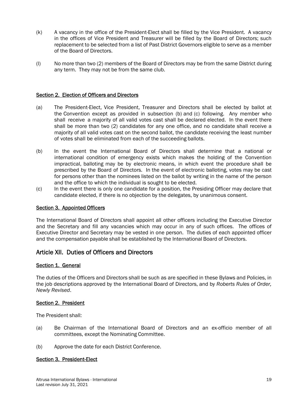- (k) A vacancy in the office of the President-Elect shall be filled by the Vice President. A vacancy in the offices of Vice President and Treasurer will be filled by the Board of Directors; such replacement to be selected from a list of Past District Governors eligible to serve as a member of the Board of Directors.
- (l) No more than two (2) members of the Board of Directors may be from the same District during any term. They may not be from the same club.

#### Section 2. Election of Officers and Directors

- (a) The President-Elect, Vice President, Treasurer and Directors shall be elected by ballot at the Convention except as provided in subsection (b) and (c) following. Any member who shall receive a majority of all valid votes cast shall be declared elected. In the event there shall be more than two (2) candidates for any one office, and no candidate shall receive a majority of all valid votes cast on the second ballot, the candidate receiving the least number of votes shall be eliminated from each of the succeeding ballots.
- (b) In the event the International Board of Directors shall determine that a national or international condition of emergency exists which makes the holding of the Convention impractical, balloting may be by electronic means, in which event the procedure shall be prescribed by the Board of Directors. In the event of electronic balloting, votes may be cast for persons other than the nominees listed on the ballot by writing in the name of the person and the office to which the individual is sought to be elected.
- (c) In the event there is only one candidate for a position, the Presiding Officer may declare that candidate elected, if there is no objection by the delegates, by unanimous consent.

#### Section 3. Appointed Officers

The International Board of Directors shall appoint all other officers including the Executive Director and the Secretary and fill any vacancies which may occur in any of such offices. The offices of Executive Director and Secretary may be vested in one person. The duties of each appointed officer and the compensation payable shall be established by the International Board of Directors.

# Article XII. Duties of Officers and Directors

#### Section 1. General

The duties of the Officers and Directors shall be such as are specified in these Bylaws and Policies, in the job descriptions approved by the International Board of Directors, and by *Roberts Rules of Order, Newly Revised*.

#### Section 2. President

The President shall:

- (a) Be Chairman of the International Board of Directors and an ex-officio member of all committees, except the Nominating Committee.
- (b) Approve the date for each District Conference.

#### Section 3. President-Elect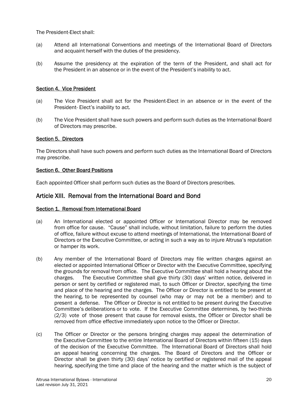The President-Elect shall:

- (a) Attend all International Conventions and meetings of the International Board of Directors and acquaint herself with the duties of the presidency.
- (b) Assume the presidency at the expiration of the term of the President, and shall act for the President in an absence or in the event of the President's inability to act.

#### Section 4. Vice President

- (a) The Vice President shall act for the President-Elect in an absence or in the event of the President- Elect's inability to act.
- (b) The Vice President shall have such powers and perform such duties as the International Board of Directors may prescribe.

#### Section 5. Directors

The Directors shall have such powers and perform such duties as the International Board of Directors may prescribe.

#### Section 6. Other Board Positions

Each appointed Officer shall perform such duties as the Board of Directors prescribes.

# Article XIII. Removal from the International Board and Bond

#### Section 1. Removal from International Board

- (a) An International elected or appointed Officer or International Director may be removed from office for cause. "Cause" shall include, without limitation, failure to perform the duties of office, failure without excuse to attend meetings of International, the International Board of Directors or the Executive Committee, or acting in such a way as to injure Altrusa's reputation or hamper its work.
- (b) Any member of the International Board of Directors may file written charges against an elected or appointed International Officer or Director with the Executive Committee, specifying the grounds for removal from office. The Executive Committee shall hold a hearing about the charges. The Executive Committee shall give thirty (30) days' written notice, delivered in person or sent by certified or registered mail, to such Officer or Director, specifying the time and place of the hearing and the charges. The Officer or Director is entitled to be present at the hearing, to be represented by counsel (who may or may not be a member) and to present a defense. The Officer or Director is not entitled to be present during the Executive Committee's deliberations or to vote. If the Executive Committee determines, by two-thirds (2/3) vote of those present that cause for removal exists, the Officer or Director shall be removed from office effective immediately upon notice to the Officer or Director.
- (c) The Officer or Director or the persons bringing charges may appeal the determination of the Executive Committee to the entire International Board of Directors within fifteen (15) days of the decision of the Executive Committee. The International Board of Directors shall hold an appeal hearing concerning the charges. The Board of Directors and the Officer or Director shall be given thirty (30) days' notice by certified or registered mail of the appeal hearing, specifying the time and place of the hearing and the matter which is the subject of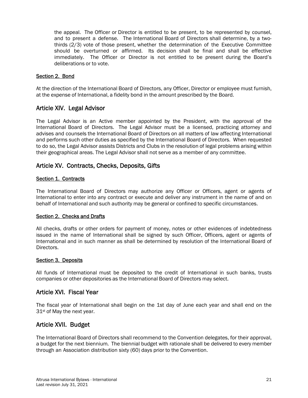the appeal. The Officer or Director is entitled to be present, to be represented by counsel, and to present a defense. The International Board of Directors shall determine, by a twothirds (2/3) vote of those present, whether the determination of the Executive Committee should be overturned or affirmed. Its decision shall be final and shall be effective immediately. The Officer or Director is not entitled to be present during the Board's deliberations or to vote.

## Section 2. Bond

At the direction of the International Board of Directors, any Officer, Director or employee must furnish, at the expense of International, a fidelity bond in the amount prescribed by the Board.

# Article XIV. Legal Advisor

The Legal Advisor is an Active member appointed by the President, with the approval of the International Board of Directors. The Legal Advisor must be a licensed, practicing attorney and advises and counsels the International Board of Directors on all matters of law affecting International and performs such other duties as specified by the International Board of Directors. When requested to do so, the Legal Advisor assists Districts and Clubs in the resolution of legal problems arising within their geographical areas. The Legal Advisor shall not serve as a member of any committee.

# Article XV. Contracts, Checks, Deposits, Gifts

#### Section 1. Contracts

The International Board of Directors may authorize any Officer or Officers, agent or agents of International to enter into any contract or execute and deliver any instrument in the name of and on behalf of International and such authority may be general or confined to specific circumstances.

#### Section 2. Checks and Drafts

All checks, drafts or other orders for payment of money, notes or other evidences of indebtedness issued in the name of International shall be signed by such Officer, Officers, agent or agents of International and in such manner as shall be determined by resolution of the International Board of Directors.

## Section 3. Deposits

All funds of International must be deposited to the credit of International in such banks, trusts companies or other depositories as the International Board of Directors may select.

# Article XVI. Fiscal Year

The fiscal year of International shall begin on the 1st day of June each year and shall end on the 31st of May the next year.

# Article XVII. Budget

The International Board of Directors shall recommend to the Convention delegates, for their approval, a budget for the next biennium. The biennial budget with rationale shall be delivered to every member through an Association distribution sixty (60) days prior to the Convention.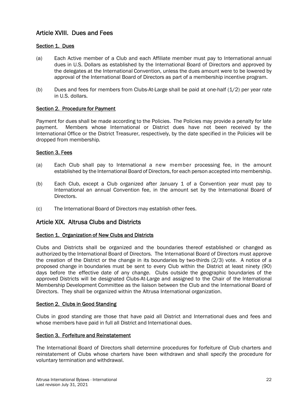# Article XVIII. Dues and Fees

# Section 1. Dues

- (a) Each Active member of a Club and each Affiliate member must pay to International annual dues in U.S. Dollars as established by the International Board of Directors and approved by the delegates at the International Convention, unless the dues amount were to be lowered by approval of the International Board of Directors as part of a membership incentive program.
- (b) Dues and fees for members from Clubs-At-Large shall be paid at one-half  $(1/2)$  per year rate in U.S. dollars.

# Section 2. Procedure for Payment

Payment for dues shall be made according to the Policies. The Policies may provide a penalty for late payment. Members whose International or District dues have not been received by the International Office or the District Treasurer, respectively, by the date specified in the Policies will be dropped from membership.

# Section 3. Fees

- (a) Each Club shall pay to International a new member processing fee, in the amount established by the International Board of Directors, for each person accepted into membership.
- (b) Each Club, except a Club organized after January 1 of a Convention year must pay to International an annual Convention fee, in the amount set by the International Board of Directors.
- (c) The International Board of Directors may establish other fees.

# Article XIX. Altrusa Clubs and Districts

#### Section 1. Organization of New Clubs and Districts

Clubs and Districts shall be organized and the boundaries thereof established or changed as authorized by the International Board of Directors. The International Board of Directors must approve the creation of the District or the change in its boundaries by two-thirds (2/3) vote. A notice of a proposed change in boundaries must be sent to every Club within the District at least ninety (90) days before the effective date of any change. Clubs outside the geographic boundaries of the approved Districts will be designated Clubs-At-Large and assigned to the Chair of the International Membership Development Committee as the liaison between the Club and the International Board of Directors. They shall be organized within the Altrusa International organization.

#### Section 2. Clubs in Good Standing

Clubs in good standing are those that have paid all District and International dues and fees and whose members have paid in full all District and International dues.

#### Section 3. Forfeiture and Reinstatement

The International Board of Directors shall determine procedures for forfeiture of Club charters and reinstatement of Clubs whose charters have been withdrawn and shall specify the procedure for voluntary termination and withdrawal.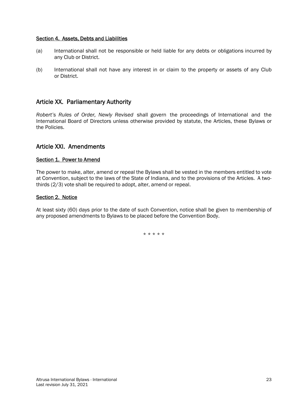#### Section 4. Assets, Debts and Liabilities

- (a) International shall not be responsible or held liable for any debts or obligations incurred by any Club or District.
- (b) International shall not have any interest in or claim to the property or assets of any Club or District.

# Article XX. Parliamentary Authority

*Robert's Rules of Order, Newly Revised* shall govern the proceedings of International and the International Board of Directors unless otherwise provided by statute, the Articles, these Bylaws or the Policies.

# Article XXI. Amendments

#### Section 1. Power to Amend

The power to make, alter, amend or repeal the Bylaws shall be vested in the members entitled to vote at Convention, subject to the laws of the State of Indiana, and to the provisions of the Articles. A twothirds (2/3) vote shall be required to adopt, alter, amend or repeal.

#### Section 2. Notice

At least sixty (60) days prior to the date of such Convention, notice shall be given to membership of any proposed amendments to Bylaws to be placed before the Convention Body.

\* \* \* \* \*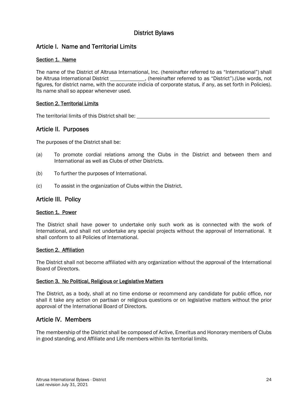# District Bylaws

# Article I. Name and Territorial Limits

# Section 1. Name

The name of the District of Altrusa International, Inc. (hereinafter referred to as "International") shall be Altrusa International District \_\_\_\_\_\_\_\_\_\_\_\_\_\_, (hereinafter referred to as "District").(Use words, not figures, for district name, with the accurate indicia of corporate status, if any, as set forth in Policies). Its name shall so appear whenever used.

## Section 2. Territorial Limits

The territorial limits of this District shall be:

# Article II. Purposes

The purposes of the District shall be:

- (a) To promote cordial relations among the Clubs in the District and between them and International as well as Clubs of other Districts.
- (b) To further the purposes of International.
- (c) To assist in the organization of Clubs within the District.

# Article III. Policy

#### Section 1. Power

The District shall have power to undertake only such work as is connected with the work of International, and shall not undertake any special projects without the approval of International. It shall conform to all Policies of International.

#### Section 2. Affiliation

The District shall not become affiliated with any organization without the approval of the International Board of Directors.

#### Section 3. No Political, Religious or Legislative Matters

The District, as a body, shall at no time endorse or recommend any candidate for public office, nor shall it take any action on partisan or religious questions or on legislative matters without the prior approval of the International Board of Directors.

# Article IV. Members

The membership of the District shall be composed of Active, Emeritus and Honorary members of Clubs in good standing, and Affiliate and Life members within its territorial limits.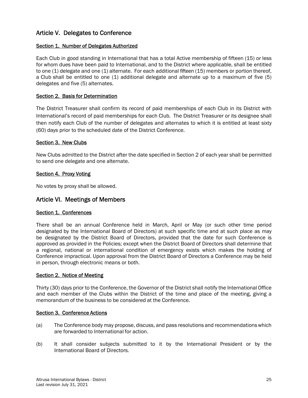# Article V. Delegates to Conference

# Section 1. Number of Delegates Authorized

Each Club in good standing in International that has a total Active membership of fifteen (15) or less for whom dues have been paid to International, and to the District where applicable, shall be entitled to one (1) delegate and one (1) alternate. For each additional fifteen (15) members or portion thereof, a Club shall be entitled to one (1) additional delegate and alternate up to a maximum of five (5) delegates and five (5) alternates.

## Section 2. Basis for Determination

The District Treasurer shall confirm its record of paid memberships of each Club in its District with International's record of paid memberships for each Club. The District Treasurer or its designee shall then notify each Club of the number of delegates and alternates to which it is entitled at least sixty (60) days prior to the scheduled date of the District Conference.

#### Section 3. New Clubs

New Clubs admitted to the District after the date specified in Section 2 of each year shall be permitted to send one delegate and one alternate.

## Section 4. Proxy Voting

No votes by proxy shall be allowed.

# Article VI. Meetings of Members

#### Section 1. Conferences

There shall be an annual Conference held in March, April or May (or such other time period designated by the International Board of Directors) at such specific time and at such place as may be designated by the District Board of Directors, provided that the date for such Conference is approved as provided in the Policies; except when the District Board of Directors shall determine that a regional, national or international condition of emergency exists which makes the holding of Conference impractical. Upon approval from the District Board of Directors a Conference may be held in person, through electronic means or both.

#### Section 2. Notice of Meeting

Thirty (30) days prior to the Conference, the Governor of the District shall notify the International Office and each member of the Clubs within the District of the time and place of the meeting, giving a memorandum of the business to be considered at the Conference.

#### Section 3. Conference Actions

- (a) The Conference body may propose, discuss, and pass resolutions and recommendations which are forwarded to International for action.
- (b) It shall consider subjects submitted to it by the International President or by the International Board of Directors.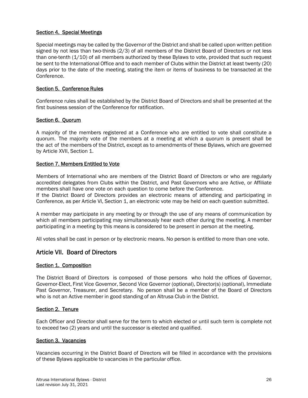## Section 4. Special Meetings

Special meetings may be called by the Governor of the District and shall be called upon written petition signed by not less than two-thirds (2/3) of all members of the District Board of Directors or not less than one-tenth (1/10) of all members authorized by these Bylaws to vote, provided that such request be sent to the International Office and to each member of Clubs within the District at least twenty (20) days prior to the date of the meeting, stating the item or items of business to be transacted at the Conference.

#### Section 5. Conference Rules

Conference rules shall be established by the District Board of Directors and shall be presented at the first business session of the Conference for ratification.

#### Section 6. Quorum

A majority of the members registered at a Conference who are entitled to vote shall constitute a quorum. The majority vote of the members at a meeting at which a quorum is present shall be the act of the members of the District, except as to amendments of these Bylaws, which are governed by Article XVII, Section 1.

## Section 7. Members Entitled to Vote

Members of International who are members of the District Board of Directors or who are regularly accredited delegates from Clubs within the District, and Past Governors who are Active, or Affiliate members shall have one vote on each question to come before the Conference.

If the District Board of Directors provides an electronic means of attending and participating in Conference, as per Article VI, Section 1, an electronic vote may be held on each question submitted.

A member may participate in any meeting by or through the use of any means of communication by which all members participating may simultaneously hear each other during the meeting. A member participating in a meeting by this means is considered to be present in person at the meeting.

All votes shall be cast in person or by electronic means. No person is entitled to more than one vote.

# Article VII. Board of Directors

#### Section 1. Composition

The District Board of Directors is composed of those persons who hold the offices of Governor, Governor-Elect, First Vice Governor, Second Vice Governor (optional), Director(s) (optional), Immediate Past Governor, Treasurer, and Secretary. No person shall be a member of the Board of Directors who is not an Active member in good standing of an Altrusa Club in the District.

#### Section 2. Tenure

Each Officer and Director shall serve for the term to which elected or until such term is complete not to exceed two (2) years and until the successor is elected and qualified.

## Section 3. Vacancies

Vacancies occurring in the District Board of Directors will be filled in accordance with the provisions of these Bylaws applicable to vacancies in the particular office.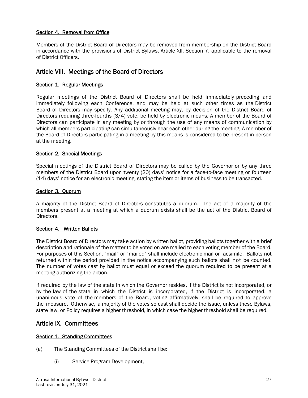# Section 4. Removal from Office

Members of the District Board of Directors may be removed from membership on the District Board in accordance with the provisions of District Bylaws, Article XII, Section 7, applicable to the removal of District Officers.

# Article VIII. Meetings of the Board of Directors

#### Section 1. Regular Meetings

Regular meetings of the District Board of Directors shall be held immediately preceding and immediately following each Conference, and may be held at such other times as the District Board of Directors may specify. Any additional meeting may, by decision of the District Board of Directors requiring three-fourths (3/4) vote, be held by electronic means. A member of the Board of Directors can participate in any meeting by or through the use of any means of communication by which all members participating can simultaneously hear each other during the meeting. A member of the Board of Directors participating in a meeting by this means is considered to be present in person at the meeting.

#### Section 2. Special Meetings

Special meetings of the District Board of Directors may be called by the Governor or by any three members of the District Board upon twenty (20) days' notice for a face-to-face meeting or fourteen (14) days' notice for an electronic meeting, stating the item or items of business to be transacted.

#### Section 3. Quorum

A majority of the District Board of Directors constitutes a quorum. The act of a majority of the members present at a meeting at which a quorum exists shall be the act of the District Board of Directors.

#### Section 4. Written Ballots

The District Board of Directors may take action by written ballot, providing ballots together with a brief description and rationale of the matter to be voted on are mailed to each voting member of the Board. For purposes of this Section, "mail" or "mailed" shall include electronic mail or facsimile. Ballots not returned within the period provided in the notice accompanying such ballots shall not be counted. The number of votes cast by ballot must equal or exceed the quorum required to be present at a meeting authorizing the action.

If required by the law of the state in which the Governor resides, if the District is not incorporated, or by the law of the state in which the District is incorporated, if the District is incorporated, a unanimous vote of the members of the Board, voting affirmatively, shall be required to approve the measure. Otherwise, a majority of the votes so cast shall decide the issue, unless these Bylaws, state law, or Policy requires a higher threshold, in which case the higher threshold shall be required.

# Article IX. Committees

#### Section 1. Standing Committees

- (a) The Standing Committees of the District shall be:
	- (i) Service Program Development,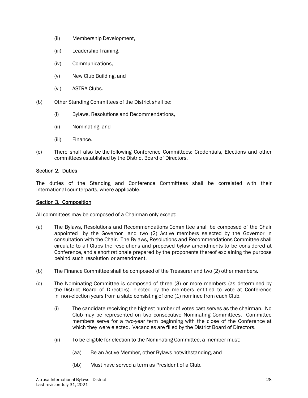- (ii) Membership Development,
- (iii) Leadership Training,
- (iv) Communications,
- (v) New Club Building, and
- (vi) ASTRA Clubs.
- (b) Other Standing Committees of the District shall be:
	- (i) Bylaws, Resolutions and Recommendations,
	- (ii) Nominating, and
	- (iii) Finance.
- (c) There shall also be the following Conference Committees: Credentials, Elections and other committees established by the District Board of Directors.

#### Section 2. Duties

The duties of the Standing and Conference Committees shall be correlated with their International counterparts, where applicable.

#### Section 3. Composition

All committees may be composed of a Chairman only except:

- (a) The Bylaws, Resolutions and Recommendations Committee shall be composed of the Chair appointed by the Governor and two (2) Active members selected by the Governor in consultation with the Chair. The Bylaws, Resolutions and Recommendations Committee shall circulate to all Clubs the resolutions and proposed bylaw amendments to be considered at Conference, and a short rationale prepared by the proponents thereof explaining the purpose behind such resolution or amendment.
- (b) The Finance Committee shall be composed of the Treasurer and two (2) other members.
- (c) The Nominating Committee is composed of three (3) or more members (as determined by the District Board of Directors), elected by the members entitled to vote at Conference in non-election years from a slate consisting of one (1) nominee from each Club.
	- (i) The candidate receiving the highest number of votes cast serves as the chairman. No Club may be represented on two consecutive Nominating Committees. Committee members serve for a two-year term beginning with the close of the Conference at which they were elected. Vacancies are filled by the District Board of Directors.
	- (ii) To be eligible for election to the Nominating Committee, a member must:
		- (aa) Be an Active Member, other Bylaws notwithstanding, and
		- (bb) Must have served a term as President of a Club.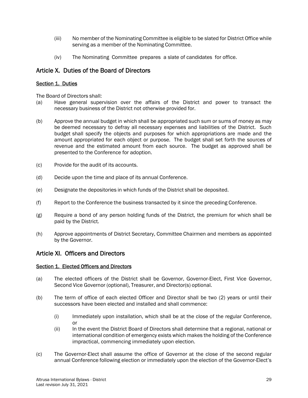- (iii) No member of the Nominating Committee is eligible to be slated for District Office while serving as a member of the Nominating Committee.
- (iv) The Nominating Committee prepares a slate of candidates for office.

# Article X. Duties of the Board of Directors

#### Section 1. Duties

The Board of Directors shall:

- (a) Have general supervision over the affairs of the District and power to transact the necessary business of the District not otherwise provided for.
- (b) Approve the annual budget in which shall be appropriated such sum or sums of money as may be deemed necessary to defray all necessary expenses and liabilities of the District. Such budget shall specify the objects and purposes for which appropriations are made and the amount appropriated for each object or purpose. The budget shall set forth the sources of revenue and the estimated amount from each source. The budget as approved shall be presented to the Conference for adoption.
- (c) Provide for the audit of its accounts.
- (d) Decide upon the time and place of its annual Conference.
- (e) Designate the depositories in which funds of the District shall be deposited.
- (f) Report to the Conference the business transacted by it since the preceding Conference.
- (g) Require a bond of any person holding funds of the District, the premium for which shall be paid by the District.
- (h) Approve appointments of District Secretary, Committee Chairmen and members as appointed by the Governor.

# Article XI. Officers and Directors

#### Section 1. Elected Officers and Directors

- (a) The elected officers of the District shall be Governor, Governor-Elect, First Vice Governor, Second Vice Governor (optional), Treasurer, and Director(s) optional.
- (b) The term of office of each elected Officer and Director shall be two (2) years or until their successors have been elected and installed and shall commence:
	- (i) Immediately upon installation, which shall be at the close of the regular Conference, or
	- (ii) In the event the District Board of Directors shall determine that a regional, national or international condition of emergency exists which makes the holding of the Conference impractical, commencing immediately upon election.
- (c) The Governor-Elect shall assume the office of Governor at the close of the second regular annual Conference following election or immediately upon the election of the Governor-Elect's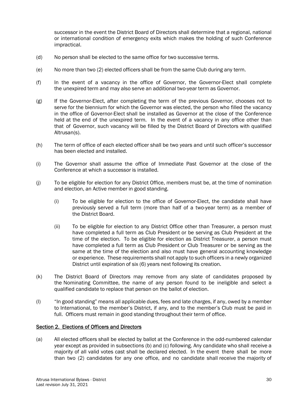successor in the event the District Board of Directors shall determine that a regional, national or international condition of emergency exits which makes the holding of such Conference impractical.

- (d) No person shall be elected to the same office for two successive terms.
- (e) No more than two (2) elected officers shall be from the same Club during any term.
- (f) In the event of a vacancy in the office of Governor, the Governor-Elect shall complete the unexpired term and may also serve an additional two-year term as Governor.
- (g) If the Governor-Elect, after completing the term of the previous Governor, chooses not to serve for the biennium for which the Governor was elected, the person who filled the vacancy in the office of Governor-Elect shall be installed as Governor at the close of the Conference held at the end of the unexpired term. In the event of a vacancy in any office other than that of Governor, such vacancy will be filled by the District Board of Directors with qualified Altrusan(s).
- (h) The term of office of each elected officer shall be two years and until such officer's successor has been elected and installed.
- (i) The Governor shall assume the office of Immediate Past Governor at the close of the Conference at which a successor is installed.
- (j) To be eligible for election for any District Office, members must be, at the time of nomination and election, an Active member in good standing.
	- (i) To be eligible for election to the office of Governor-Elect, the candidate shall have previously served a full term (more than half of a two-year term) as a member of the District Board.
	- (ii) To be eligible for election to any District Office other than Treasurer, a person must have completed a full term as Club President or be serving as Club President at the time of the election. To be eligible for election as District Treasurer, a person must have completed a full term as Club President or Club Treasurer or be serving as the same at the time of the election and also must have general accounting knowledge or experience. These requirements shall not apply to such officers in a newly organized District until expiration of six (6) years next following its creation.
- (k) The District Board of Directors may remove from any slate of candidates proposed by the Nominating Committee, the name of any person found to be ineligible and select a qualified candidate to replace that person on the ballot of election.
- (l) "In good standing" means all applicable dues, fees and late charges, if any, owed by a member to International, to the member's District, if any, and to the member's Club must be paid in full. Officers must remain in good standing throughout their term of office.

#### Section 2. Elections of Officers and Directors

(a) All elected officers shall be elected by ballot at the Conference in the odd-numbered calendar year except as provided in subsections (b) and (c) following. Any candidate who shall receive a majority of all valid votes cast shall be declared elected. In the event there shall be more than two (2) candidates for any one office, and no candidate shall receive the majority of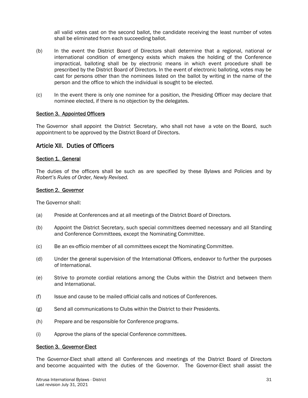all valid votes cast on the second ballot, the candidate receiving the least number of votes shall be eliminated from each succeeding ballot.

- (b) In the event the District Board of Directors shall determine that a regional, national or international condition of emergency exists which makes the holding of the Conference impractical, balloting shall be by electronic means in which event procedure shall be prescribed by the District Board of Directors. In the event of electronic balloting, votes may be cast for persons other than the nominees listed on the ballot by writing in the name of the person and the office to which the individual is sought to be elected.
- (c) In the event there is only one nominee for a position, the Presiding Officer may declare that nominee elected, if there is no objection by the delegates.

#### Section 3. Appointed Officers

The Governor shall appoint the District Secretary, who shall not have a vote on the Board, such appointment to be approved by the District Board of Directors.

# Article XII. Duties of Officers

#### Section 1. General

The duties of the officers shall be such as are specified by these Bylaws and Policies and by *Robert's Rules of Order, Newly Revised.*

#### Section 2. Governor

The Governor shall:

- (a) Preside at Conferences and at all meetings of the District Board of Directors.
- (b) Appoint the District Secretary, such special committees deemed necessary and all Standing and Conference Committees, except the Nominating Committee.
- (c) Be an ex-officio member of all committees except the Nominating Committee.
- (d) Under the general supervision of the International Officers, endeavor to further the purposes of International.
- (e) Strive to promote cordial relations among the Clubs within the District and between them and International.
- (f) Issue and cause to be mailed official calls and notices of Conferences.
- (g) Send all communications to Clubs within the District to their Presidents.
- (h) Prepare and be responsible for Conference programs.
- (i) Approve the plans of the special Conference committees.

#### Section 3. Governor-Elect

The Governor-Elect shall attend all Conferences and meetings of the District Board of Directors and become acquainted with the duties of the Governor. The Governor-Elect shall assist the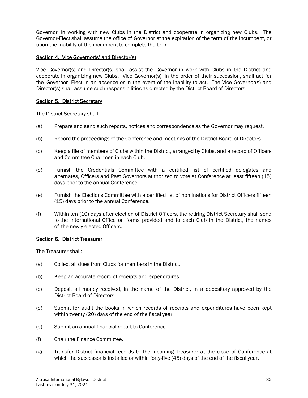Governor in working with new Clubs in the District and cooperate in organizing new Clubs. The Governor-Elect shall assume the office of Governor at the expiration of the term of the incumbent, or upon the inability of the incumbent to complete the term.

## Section 4. Vice Governor(s) and Director(s)

Vice Governor(s) and Director(s) shall assist the Governor in work with Clubs in the District and cooperate in organizing new Clubs. Vice Governor(s), in the order of their succession, shall act for the Governor- Elect in an absence or in the event of the inability to act. The Vice Governor(s) and Director(s) shall assume such responsibilities as directed by the District Board of Directors.

#### Section 5. District Secretary

The District Secretary shall:

- (a) Prepare and send such reports, notices and correspondence as the Governor may request.
- (b) Record the proceedings of the Conference and meetings of the District Board of Directors.
- (c) Keep a file of members of Clubs within the District, arranged by Clubs, and a record of Officers and Committee Chairmen in each Club.
- (d) Furnish the Credentials Committee with a certified list of certified delegates and alternates, Officers and Past Governors authorized to vote at Conference at least fifteen (15) days prior to the annual Conference.
- (e) Furnish the Elections Committee with a certified list of nominations for District Officers fifteen (15) days prior to the annual Conference.
- (f) Within ten (10) days after election of District Officers, the retiring District Secretary shall send to the International Office on forms provided and to each Club in the District, the names of the newly elected Officers.

#### Section 6. District Treasurer

The Treasurer shall:

- (a) Collect all dues from Clubs for members in the District.
- (b) Keep an accurate record of receipts and expenditures.
- (c) Deposit all money received, in the name of the District, in a depository approved by the District Board of Directors.
- (d) Submit for audit the books in which records of receipts and expenditures have been kept within twenty (20) days of the end of the fiscal year.
- (e) Submit an annual financial report to Conference.
- (f) Chair the Finance Committee.
- (g) Transfer District financial records to the incoming Treasurer at the close of Conference at which the successor is installed or within forty-five (45) days of the end of the fiscal year.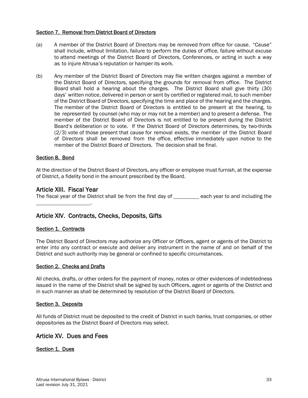#### Section 7. Removal from District Board of Directors

- (a) A member of the District Board of Directors may be removed from office for cause. "Cause" shall include, without limitation, failure to perform the duties of office, failure without excuse to attend meetings of the District Board of Directors, Conferences, or acting in such a way as to injure Altrusa's reputation or hamper its work.
- (b) Any member of the District Board of Directors may file written charges against a member of the District Board of Directors, specifying the grounds for removal from office. The District Board shall hold a hearing about the charges. The District Board shall give thirty (30) days' written notice, delivered in person or sent by certified or registered mail, to such member of the District Board of Directors, specifying the time and place of the hearing and the charges. The member of the District Board of Directors is entitled to be present at the hearing, to be represented by counsel (who may or may not be a member) and to present a defense. The member of the District Board of Directors is not entitled to be present during the District Board's deliberation or to vote. If the District Board of Directors determines, by two-thirds (2/3) vote of those present that cause for removal exists, the member of the District Board of Directors shall be removed from the office, effective immediately upon notice to the member of the District Board of Directors. The decision shall be final.

## Section 8. Bond

At the direction of the District Board of Directors, any officer or employee must furnish, at the expense of District, a fidelity bond in the amount prescribed by the Board.

# Article XIII. Fiscal Year

.

The fiscal year of the District shall be from the first day of \_\_\_\_\_\_\_ each year to and including the

# Article XIV. Contracts, Checks, Deposits, Gifts

#### Section 1. Contracts

The District Board of Directors may authorize any Officer or Officers, agent or agents of the District to enter into any contract or execute and deliver any instrument in the name of and on behalf of the District and such authority may be general or confined to specific circumstances.

#### Section 2. Checks and Drafts

All checks, drafts, or other orders for the payment of money, notes or other evidences of indebtedness issued in the name of the District shall be signed by such Officers, agent or agents of the District and in such manner as shall be determined by resolution of the District Board of Directors.

#### Section 3. Deposits

All funds of District must be deposited to the credit of District in such banks, trust companies, or other depositories as the District Board of Directors may select.

# Article XV. Dues and Fees

#### Section 1. Dues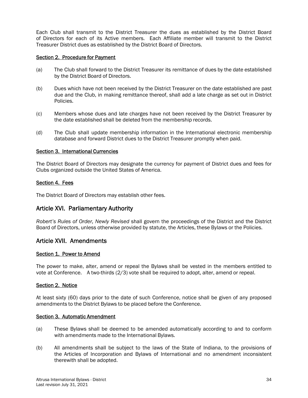Each Club shall transmit to the District Treasurer the dues as established by the District Board of Directors for each of its Active members. Each Affiliate member will transmit to the District Treasurer District dues as established by the District Board of Directors.

#### Section 2. Procedure for Payment

- (a) The Club shall forward to the District Treasurer its remittance of dues by the date established by the District Board of Directors.
- (b) Dues which have not been received by the District Treasurer on the date established are past due and the Club, in making remittance thereof, shall add a late charge as set out in District Policies.
- (c) Members whose dues and late charges have not been received by the District Treasurer by the date established shall be deleted from the membership records.
- (d) The Club shall update membership information in the International electronic membership database and forward District dues to the District Treasurer promptly when paid.

#### Section 3. International Currencies

The District Board of Directors may designate the currency for payment of District dues and fees for Clubs organized outside the United States of America.

#### Section 4. Fees

The District Board of Directors may establish other fees.

# Article XVI. Parliamentary Authority

*Robert's Rules of Order, Newly Revised* shall govern the proceedings of the District and the District Board of Directors, unless otherwise provided by statute, the Articles, these Bylaws or the Policies.

# Article XVII. Amendments

#### Section 1. Power to Amend

The power to make, alter, amend or repeal the Bylaws shall be vested in the members entitled to vote at Conference. A two-thirds (2/3) vote shall be required to adopt, alter, amend or repeal.

#### Section 2. Notice

At least sixty (60) days prior to the date of such Conference, notice shall be given of any proposed amendments to the District Bylaws to be placed before the Conference.

#### Section 3. Automatic Amendment

- (a) These Bylaws shall be deemed to be amended automatically according to and to conform with amendments made to the International Bylaws.
- (b) All amendments shall be subject to the laws of the State of Indiana, to the provisions of the Articles of Incorporation and Bylaws of International and no amendment inconsistent therewith shall be adopted.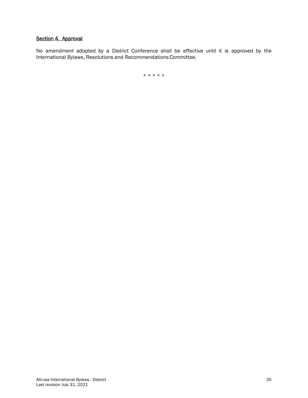# Section 4. Approval

No amendment adopted by a District Conference shall be effective until it is approved by the International Bylaws, Resolutions and Recommendations Committee.

\* \* \* \* \*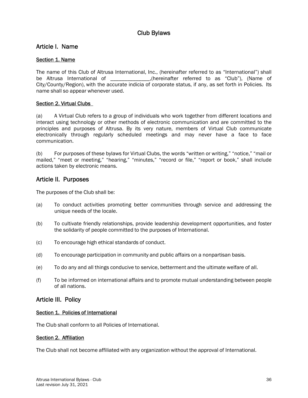# Club Bylaws

# Article I. Name

# Section 1. Name

The name of this Club of Altrusa International, Inc., (hereinafter referred to as "International") shall be Altrusa International of \_\_\_\_\_\_\_\_\_\_\_\_\_\_,(hereinafter referred to as "Club"), (Name of City/County/Region), with the accurate indicia of corporate status, if any, as set forth in Policies. Its name shall so appear whenever used.

# Section 2. Virtual Clubs

(a) A Virtual Club refers to a group of individuals who work together from different locations and interact using technology or other methods of electronic communication and are committed to the principles and purposes of Altrusa. By its very nature, members of Virtual Club communicate electronically through regularly scheduled meetings and may never have a face to face communication.

(b) For purposes of these bylaws for Virtual Clubs, the words "written or writing," "notice," "mail or mailed," "meet or meeting," "hearing," "minutes," "record or file," "report or book," shall include actions taken by electronic means.

# Article II. Purposes

The purposes of the Club shall be:

- (a) To conduct activities promoting better communities through service and addressing the unique needs of the locale.
- (b) To cultivate friendly relationships, provide leadership development opportunities, and foster the solidarity of people committed to the purposes of International.
- (c) To encourage high ethical standards of conduct.
- (d) To encourage participation in community and public affairs on a nonpartisan basis.
- (e) To do any and all things conducive to service, betterment and the ultimate welfare of all.
- (f) To be informed on international affairs and to promote mutual understanding between people of all nations.

# Article III. Policy

# Section 1. Policies of International

The Club shall conform to all Policies of International.

# Section 2. Affiliation

The Club shall not become affiliated with any organization without the approval of International.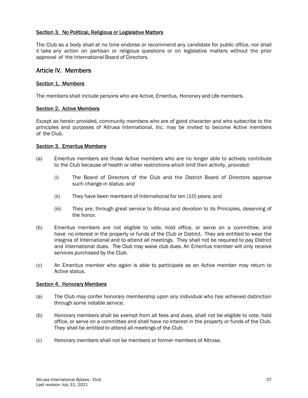#### Section 3. No Political, Religious or Legislative Matters

The Club as a body shall at no time endorse or recommend any candidate for public office, nor shall it take any action on partisan or religious questions or on legislative matters without the prior approval of the International Board of Directors.

# Article IV. Members

#### Section 1. Members

The members shall include persons who are Active, Emeritus, Honorary and Life members.

#### Section 2. Active Members

Except as herein provided, community members who are of good character and who subscribe to the principles and purposes of Altrusa International, Inc. may be invited to become Active members of the Club.

#### Section 3. Emeritus Members

- (a) Emeritus members are those Active members who are no longer able to actively contribute to the Club because of health or other restrictions which limit their activity, provided:
	- (i) The Board of Directors of the Club and the District Board of Directors approve such change in status; and
	- (ii) They have been members of International for ten (10) years; and
	- (iii) They are, through great service to Altrusa and devotion to its Principles, deserving of the honor.
- (b) Emeritus members are not eligible to vote, hold office, or serve on a committee, and have no interest in the property or funds of the Club or District. They are entitled to wear the insignia of International and to attend all meetings. They shall not be required to pay District and International dues. The Club may waive club dues. An Emeritus member will only receive services purchased by the Club.
- (c) An Emeritus member who again is able to participate as an Active member may return to Active status.

#### Section 4. Honorary Members

- (a) The Club may confer honorary membership upon any individual who has achieved distinction through some notable service.
- (b) Honorary members shall be exempt from all fees and dues, shall not be eligible to vote, hold office, or serve on a committee and shall have no interest in the property or funds of the Club. They shall be entitled to attend all meetings of the Club.
- (c) Honorary members shall not be members or former members of Altrusa.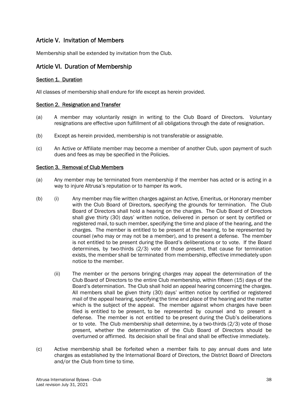# Article V. Invitation of Members

Membership shall be extended by invitation from the Club.

# Article VI. Duration of Membership

#### Section 1. Duration

All classes of membership shall endure for life except as herein provided.

#### Section 2. Resignation and Transfer

- (a) A member may voluntarily resign in writing to the Club Board of Directors. Voluntary resignations are effective upon fulfillment of all obligations through the date of resignation.
- (b) Except as herein provided, membership is not transferable or assignable.
- (c) An Active or Affiliate member may become a member of another Club, upon payment of such dues and fees as may be specified in the Policies.

#### Section 3. Removal of Club Members

- (a) Any member may be terminated from membership if the member has acted or is acting in a way to injure Altrusa's reputation or to hamper its work.
- (b) (i) Any member may file written charges against an Active, Emeritus, or Honorary member with the Club Board of Directors, specifying the grounds for termination. The Club Board of Directors shall hold a hearing on the charges. The Club Board of Directors shall give thirty (30) days' written notice, delivered in person or sent by certified or registered mail, to such member, specifying the time and place of the hearing, and the charges. The member is entitled to be present at the hearing, to be represented by counsel (who may or may not be a member), and to present a defense. The member is not entitled to be present during the Board's deliberations or to vote. If the Board determines, by two-thirds (2/3) vote of those present, that cause for termination exists, the member shall be terminated from membership, effective immediately upon notice to the member.
	- (ii) The member or the persons bringing charges may appeal the determination of the Club Board of Directors to the entire Club membership, within fifteen (15) days of the Board's determination. The Club shall hold an appeal hearing concerning the charges. All members shall be given thirty (30) days' written notice by certified or registered mail of the appeal hearing, specifying the time and place of the hearing and the matter which is the subject of the appeal. The member against whom charges have been filed is entitled to be present, to be represented by counsel and to present a defense. The member is not entitled to be present during the Club's deliberations or to vote. The Club membership shall determine, by a two-thirds (2/3) vote of those present, whether the determination of the Club Board of Directors should be overturned or affirmed. Its decision shall be final and shall be effective immediately.
- (c) Active membership shall be forfeited when a member fails to pay annual dues and late charges as established by the International Board of Directors, the District Board of Directors and/or the Club from time to time.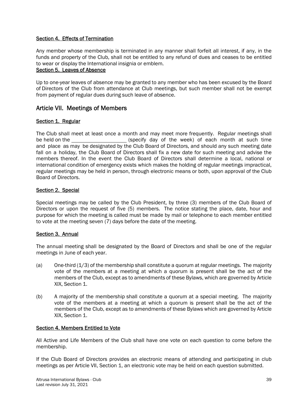# Section 4. Effects of Termination

Any member whose membership is terminated in any manner shall forfeit all interest, if any, in the funds and property of the Club, shall not be entitled to any refund of dues and ceases to be entitled to wear or display the International insignia or emblem.

#### Section 5. Leaves of Absence

Up to one-year leaves of absence may be granted to any member who has been excused by the Board of Directors of the Club from attendance at Club meetings, but such member shall not be exempt from payment of regular dues during such leave of absence.

# Article VII. Meetings of Members

#### Section 1. Regular

The Club shall meet at least once a month and may meet more frequently. Regular meetings shall be held on the (specify day of the week) of each month at such time and place as may be designated by the Club Board of Directors, and should any such meeting date fall on a holiday, the Club Board of Directors shall fix a new date for such meeting and advise the members thereof. In the event the Club Board of Directors shall determine a local, national or international condition of emergency exists which makes the holding of regular meetings impractical, regular meetings may be held in person, through electronic means or both, upon approval of the Club Board of Directors.

## Section 2. Special

Special meetings may be called by the Club President, by three (3) members of the Club Board of Directors or upon the request of five (5) members. The notice stating the place, date, hour and purpose for which the meeting is called must be made by mail or telephone to each member entitled to vote at the meeting seven (7) days before the date of the meeting.

#### Section 3. Annual

The annual meeting shall be designated by the Board of Directors and shall be one of the regular meetings in June of each year.

- $(a)$  One-third  $(1/3)$  of the membership shall constitute a quorum at regular meetings. The majority vote of the members at a meeting at which a quorum is present shall be the act of the members of the Club, except as to amendments of these Bylaws, which are governed by Article XIX, Section 1.
- (b) A majority of the membership shall constitute a quorum at a special meeting. The majority vote of the members at a meeting at which a quorum is present shall be the act of the members of the Club, except as to amendments of these Bylaws which are governed by Article XIX, Section 1.

#### Section 4. Members Entitled to Vote

All Active and Life Members of the Club shall have one vote on each question to come before the membership.

If the Club Board of Directors provides an electronic means of attending and participating in club meetings as per Article VII, Section 1, an electronic vote may be held on each question submitted.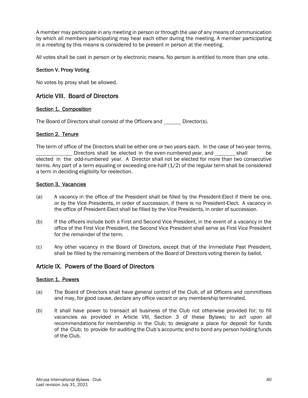A member may participate in any meeting in person or through the use of any means of communication by which all members participating may hear each other during the meeting. A member participating in a meeting by this means is considered to be present in person at the meeting.

All votes shall be cast in person or by electronic means. No person is entitled to more than one vote.

## Section V. Proxy Voting

No votes by proxy shall be allowed.

# Article VIII. Board of Directors

## Section 1. Composition

The Board of Directors shall consist of the Officers and \_ Director(s).

## Section 2. Tenure

The term of office of the Directors shall be either one or two years each. In the case of two-year terms, Directors shall be elected in the even-numbered year, and shall be elected in the odd-numbered year. A Director shall not be elected for more than two consecutive terms. Any part of a term equaling or exceeding one-half (1/2) of the regular term shall be considered a term in deciding eligibility for reelection.

## Section 3. Vacancies

- (a) A vacancy in the office of the President shall be filled by the President-Elect if there be one, or by the Vice Presidents, in order of succession, if there is no President-Elect. A vacancy in the office of President-Elect shall be filled by the Vice Presidents, in order of succession.
- (b) If the officers include both a First and Second Vice President, in the event of a vacancy in the office of the First Vice President, the Second Vice President shall serve as First Vice President for the remainder of the term.
- (c) Any other vacancy in the Board of Directors, except that of the Immediate Past President, shall be filled by the remaining members of the Board of Directors voting therein by ballot.

# Article IX. Powers of the Board of Directors

#### Section 1. Powers

- (a) The Board of Directors shall have general control of the Club, of all Officers and committees and may, for good cause, declare any office vacant or any membership terminated.
- (b) It shall have power to transact all business of the Club not otherwise provided for; to fill vacancies as provided in Article VIII, Section 3 of these Bylaws; to act upon all recommendations for membership in the Club; to designate a place for deposit for funds of the Club; to provide for auditing the Club's accounts; and to bond any person holding funds of the Club.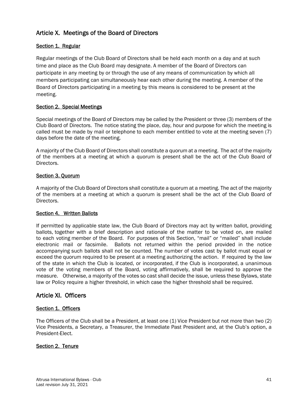# Article X. Meetings of the Board of Directors

# Section 1. Regular

Regular meetings of the Club Board of Directors shall be held each month on a day and at such time and place as the Club Board may designate. A member of the Board of Directors can participate in any meeting by or through the use of any means of communication by which all members participating can simultaneously hear each other during the meeting. A member of the Board of Directors participating in a meeting by this means is considered to be present at the meeting.

## Section 2. Special Meetings

Special meetings of the Board of Directors may be called by the President or three (3) members of the Club Board of Directors. The notice stating the place, day, hour and purpose for which the meeting is called must be made by mail or telephone to each member entitled to vote at the meeting seven (7) days before the date of the meeting.

A majority of the Club Board of Directors shall constitute a quorum at a meeting. The act of the majority of the members at a meeting at which a quorum is present shall be the act of the Club Board of Directors.

## Section 3. Quorum

A majority of the Club Board of Directors shall constitute a quorum at a meeting. The act of the majority of the members at a meeting at which a quorum is present shall be the act of the Club Board of Directors.

#### Section 4. Written Ballots

If permitted by applicable state law, the Club Board of Directors may act by written ballot, providing ballots, together with a brief description and rationale of the matter to be voted on, are mailed to each voting member of the Board. For purposes of this Section, "mail" or "mailed" shall include electronic mail or facsimile. Ballots not returned within the period provided in the notice accompanying such ballots shall not be counted. The number of votes cast by ballot must equal or exceed the quorum required to be present at a meeting authorizing the action. If required by the law of the state in which the Club is located, or incorporated, if the Club is incorporated, a unanimous vote of the voting members of the Board, voting affirmatively, shall be required to approve the measure. Otherwise, a majority of the votes so cast shall decide the issue, unless these Bylaws, state law or Policy require a higher threshold, in which case the higher threshold shall be required.

# Article XI. Officers

#### Section 1. Officers

The Officers of the Club shall be a President, at least one (1) Vice President but not more than two (2) Vice Presidents, a Secretary, a Treasurer, the Immediate Past President and, at the Club's option, a President-Elect.

#### Section 2. Tenure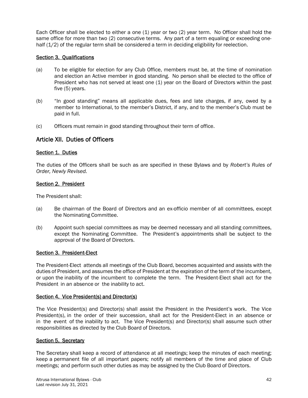Each Officer shall be elected to either a one (1) year or two (2) year term. No Officer shall hold the same office for more than two (2) consecutive terms. Any part of a term equaling or exceeding onehalf (1/2) of the regular term shall be considered a term in deciding eligibility for reelection.

# Section 3. Qualifications

- (a) To be eligible for election for any Club Office, members must be, at the time of nomination and election an Active member in good standing. No person shall be elected to the office of President who has not served at least one (1) year on the Board of Directors within the past five (5) years.
- (b) "In good standing" means all applicable dues, fees and late charges, if any, owed by a member to International, to the member's District, if any, and to the member's Club must be paid in full.
- (c) Officers must remain in good standing throughout their term of office.

# Article XII. Duties of Officers

#### Section 1. Duties

The duties of the Officers shall be such as are specified in these Bylaws and by *Robert's Rules of Order, Newly Revised.*

#### Section 2. President

The President shall:

- (a) Be chairman of the Board of Directors and an ex-officio member of all committees, except the Nominating Committee.
- (b) Appoint such special committees as may be deemed necessary and all standing committees, except the Nominating Committee. The President's appointments shall be subject to the approval of the Board of Directors.

#### Section 3. President-Elect

The President-Elect attends all meetings of the Club Board, becomes acquainted and assists with the duties of President, and assumes the office of President at the expiration of the term of the incumbent, or upon the inability of the incumbent to complete the term. The President-Elect shall act for the President in an absence or the inability to act.

#### Section 4. Vice President(s) and Director(s)

The Vice President(s) and Director(s) shall assist the President in the President's work. The Vice President(s), in the order of their succession, shall act for the President-Elect in an absence or in the event of the inability to act. The Vice President(s) and Director(s) shall assume such other responsibilities as directed by the Club Board of Directors.

#### Section 5. Secretary

The Secretary shall keep a record of attendance at all meetings; keep the minutes of each meeting; keep a permanent file of all important papers; notify all members of the time and place of Club meetings; and perform such other duties as may be assigned by the Club Board of Directors.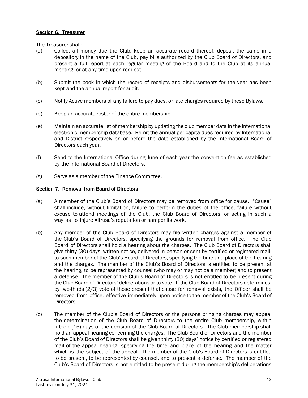## Section 6. Treasurer

The Treasurer shall:

- (a) Collect all money due the Club, keep an accurate record thereof, deposit the same in a depository in the name of the Club, pay bills authorized by the Club Board of Directors, and present a full report at each regular meeting of the Board and to the Club at its annual meeting, or at any time upon request.
- (b) Submit the book in which the record of receipts and disbursements for the year has been kept and the annual report for audit.
- (c) Notify Active members of any failure to pay dues, or late charges required by these Bylaws.
- (d) Keep an accurate roster of the entire membership.
- (e) Maintain an accurate list of membership by updating the club member data in the International electronic membership database. Remit the annual per capita dues required by International and District respectively on or before the date established by the International Board of Directors each year.
- (f) Send to the International Office during June of each year the convention fee as established by the International Board of Directors.
- (g) Serve as a member of the Finance Committee.

## Section 7. Removal from Board of Directors

- (a) A member of the Club's Board of Directors may be removed from office for cause. "Cause" shall include, without limitation, failure to perform the duties of the office, failure without excuse to attend meetings of the Club, the Club Board of Directors, or acting in such a way as to injure Altrusa's reputation or hamper its work.
- (b) Any member of the Club Board of Directors may file written charges against a member of the Club's Board of Directors, specifying the grounds for removal from office. The Club Board of Directors shall hold a hearing about the charges. The Club Board of Directors shall give thirty (30) days' written notice, delivered in person or sent by certified or registered mail, to such member of the Club's Board of Directors, specifying the time and place of the hearing and the charges. The member of the Club's Board of Directors is entitled to be present at the hearing, to be represented by counsel (who may or may not be a member) and to present a defense. The member of the Club's Board of Directors is not entitled to be present during the Club Board of Directors' deliberations or to vote. If the Club Board of Directors determines, by two-thirds (2/3) vote of those present that cause for removal exists, the Officer shall be removed from office, effective immediately upon notice to the member of the Club's Board of Directors.
- (c) The member of the Club's Board of Directors or the persons bringing charges may appeal the determination of the Club Board of Directors to the entire Club membership, within fifteen (15) days of the decision of the Club Board of Directors. The Club membership shall hold an appeal hearing concerning the charges. The Club Board of Directors and the member of the Club's Board of Directors shall be given thirty (30) days' notice by certified or registered mail of the appeal hearing, specifying the time and place of the hearing and the matter which is the subject of the appeal. The member of the Club's Board of Directors is entitled to be present, to be represented by counsel, and to present a defense. The member of the Club's Board of Directors is not entitled to be present during the membership's deliberations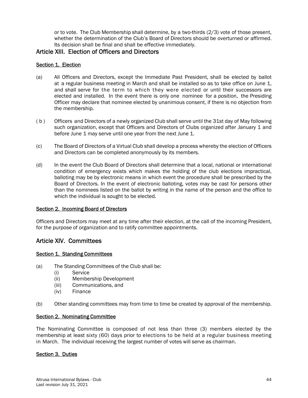or to vote. The Club Membership shall determine, by a two-thirds (2/3) vote of those present, whether the determination of the Club's Board of Directors should be overturned or affirmed. Its decision shall be final and shall be effective immediately.

# Article XIII. Election of Officers and Directors

# Section 1. Election

- (a) All Officers and Directors, except the Immediate Past President, shall be elected by ballot at a regular business meeting in March and shall be installed so as to take office on June 1, and shall serve for the term to which they were elected or until their successors are elected and installed. In the event there is only one nominee for a position, the Presiding Officer may declare that nominee elected by unanimous consent, if there is no objection from the membership.
- ( b ) Officers and Directors of a newly organized Club shall serve until the 31st day of May following such organization, except that Officers and Directors of Clubs organized after January 1 and before June 1 may serve until one year from the next June 1.
- (c) The Board of Directors of a Virtual Club shall develop a process whereby the election of Officers and Directors can be completed anonymously by its members.
- (d) In the event the Club Board of Directors shall determine that a local, national or international condition of emergency exists which makes the holding of the club elections impractical, balloting may be by electronic means in which event the procedure shall be prescribed by the Board of Directors. In the event of electronic balloting, votes may be cast for persons other than the nominees listed on the ballot by writing in the name of the person and the office to which the individual is sought to be elected.

# Section 2. Incoming Board of Directors

Officers and Directors may meet at any time after their election, at the call of the incoming President, for the purpose of organization and to ratify committee appointments.

# Article XIV. Committees

# Section 1. Standing Committees

- (a) The Standing Committees of the Club shall be:
	- (i) Service
	- (ii) Membership Development
	- (iii) Communications, and
	- (iv) Finance
- (b) Other standing committees may from time to time be created by approval of the membership.

#### Section 2. Nominating Committee

The Nominating Committee is composed of not less than three (3) members elected by the membership at least sixty (60) days prior to elections to be held at a regular business meeting in March. The individual receiving the largest number of votes will serve as chairman.

# Section 3. Duties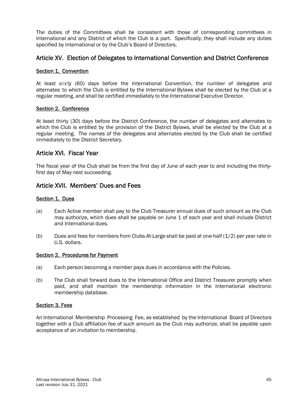The duties of the Committees shall be consistent with those of corresponding committees in International and any District of which the Club is a part. Specifically, they shall include any duties specified by International or by the Club's Board of Directors.

# Article XV. Election of Delegates to International Convention and District Conference

## Section 1. Convention

At least sixty (60) days before the International Convention, the number of delegates and alternates to which the Club is entitled by the International Bylaws shall be elected by the Club at a regular meeting, and shall be certified immediately to the International Executive Director.

## Section 2. Conference

At least thirty (30) days before the District Conference, the number of delegates and alternates to which the Club is entitled by the provision of the District Bylaws, shall be elected by the Club at a regular meeting. The names of the delegates and alternates elected by the Club shall be certified immediately to the District Secretary.

# Article XVI. Fiscal Year

The fiscal year of the Club shall be from the first day of June of each year to and including the thirtyfirst day of May next succeeding.

# Article XVII. Members' Dues and Fees

#### Section 1. Dues

- (a) Each Active member shall pay to the Club Treasurer annual dues of such amount as the Club may authorize, which dues shall be payable on June 1 of each year and shall include District and International dues.
- (b) Dues and fees for members from Clubs-At-Large shall be paid at one-half (1/2) per year rate in U.S. dollars.

#### Section 2. Procedures for Payment

- (a) Each person becoming a member pays dues in accordance with the Policies.
- (b) The Club shall forward dues to the International Office and District Treasurer promptly when paid, and shall maintain the membership information in the International electronic membership database.

#### Section 3. Fees

An International Membership Processing Fee, as established by the International Board of Directors together with a Club affiliation fee of such amount as the Club may authorize, shall be payable upon acceptance of an invitation to membership.